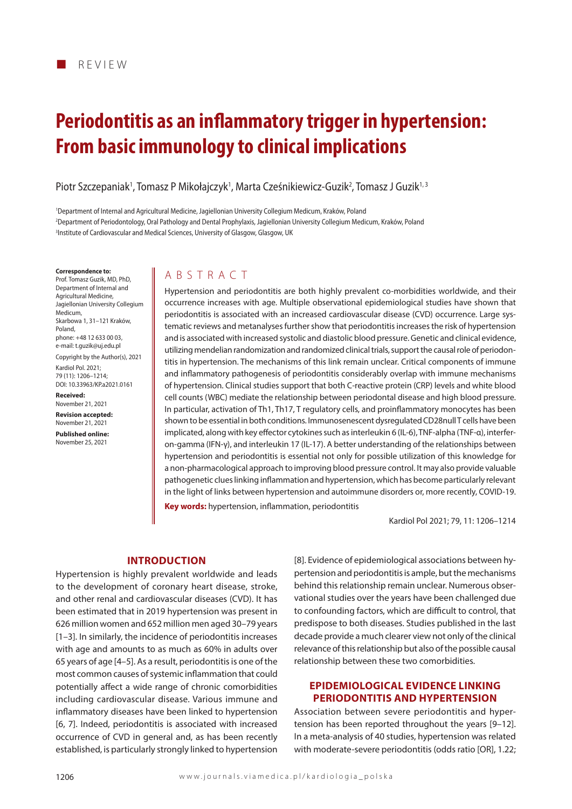# **Periodontitis as an inflammatory trigger in hypertension: From basic immunology to clinical implications**

Piotr Szczepaniak<sup>1</sup>, Tomasz P Mikołajczyk<sup>1</sup>, Marta Cześnikiewicz-Guzik<sup>2</sup>, Tomasz J Guzik<sup>1, 3</sup>

1 Department of Internal and Agricultural Medicine, Jagiellonian University Collegium Medicum, Kraków, Poland 2 Department of Periodontology, Oral Pathology and Dental Prophylaxis, Jagiellonian University Collegium Medicum, Kraków, Poland 3 Institute of Cardiovascular and Medical Sciences, University of Glasgow, Glasgow, UK

#### **Correspondence to:**

Prof. Tomasz Guzik, MD, PhD, Department of Internal and Agricultural Medicine, Jagiellonian University Collegium Medicum, Skarbowa 1, 31–121 Kraków, Poland, phone: +48 12 633 00 03, e-mail: t.guzik@uj.edu.pl

Copyright by the Author(s), 2021 Kardiol Pol. 2021; 79 (11): 1206–1214; DOI: 10.33963/KP.a2021.0161

**Received:**  November 21, 2021

**Revision accepted:**  November 21, 2021

**Published online:**  November 25, 2021

## ABSTRACT

Hypertension and periodontitis are both highly prevalent co-morbidities worldwide, and their occurrence increases with age. Multiple observational epidemiological studies have shown that periodontitis is associated with an increased cardiovascular disease (CVD) occurrence. Large systematic reviews and metanalyses further show that periodontitis increases the risk of hypertension and is associated with increased systolic and diastolic blood pressure. Genetic and clinical evidence, utilizing mendelian randomization and randomized clinical trials, support the causal role of periodontitis in hypertension. The mechanisms of this link remain unclear. Critical components of immune and inflammatory pathogenesis of periodontitis considerably overlap with immune mechanisms of hypertension. Clinical studies support that both C-reactive protein (CRP) levels and white blood cell counts (WBC) mediate the relationship between periodontal disease and high blood pressure. In particular, activation of Th1, Th17, T regulatory cells, and proinflammatory monocytes has been shown to be essential in both conditions. Immunosenescent dysregulated CD28null T cells have been implicated, along with key effector cytokines such as interleukin 6 (IL-6), TNF-alpha (TNF-α), interferon-gamma (IFN-γ), and interleukin 17 (IL-17). A better understanding of the relationships between hypertension and periodontitis is essential not only for possible utilization of this knowledge for a non-pharmacological approach to improving blood pressure control. It may also provide valuable pathogenetic clues linking inflammation and hypertension, which has become particularly relevant in the light of links between hypertension and autoimmune disorders or, more recently, COVID-19.

**Key words:** hypertension, inflammation, periodontitis

Kardiol Pol 2021; 79, 11: 1206–1214

## **Introduction**

Hypertension is highly prevalent worldwide and leads to the development of coronary heart disease, stroke, and other renal and cardiovascular diseases (CVD). It has been estimated that in 2019 hypertension was present in 626 million women and 652 million men aged 30–79 years [1–3]. In similarly, the incidence of periodontitis increases with age and amounts to as much as 60% in adults over 65 years of age [4–5]. As a result, periodontitis is one of the most common causes of systemic inflammation that could potentially affect a wide range of chronic comorbidities including cardiovascular disease. Various immune and inflammatory diseases have been linked to hypertension [6, 7]. Indeed, periodontitis is associated with increased occurrence of CVD in general and, as has been recently established, is particularly strongly linked to hypertension

[8]. Evidence of epidemiological associations between hypertension and periodontitis is ample, but the mechanisms behind this relationship remain unclear. Numerous observational studies over the years have been challenged due to confounding factors, which are difficult to control, that predispose to both diseases. Studies published in the last decade provide a much clearer view not only of the clinical relevance of this relationship but also of the possible causal relationship between these two comorbidities.

## **Epidemiological evidence linking periodontitis and hypertension**

Association between severe periodontitis and hypertension has been reported throughout the years [9–12]. In a meta-analysis of 40 studies, hypertension was related with moderate-severe periodontitis (odds ratio [OR], 1.22;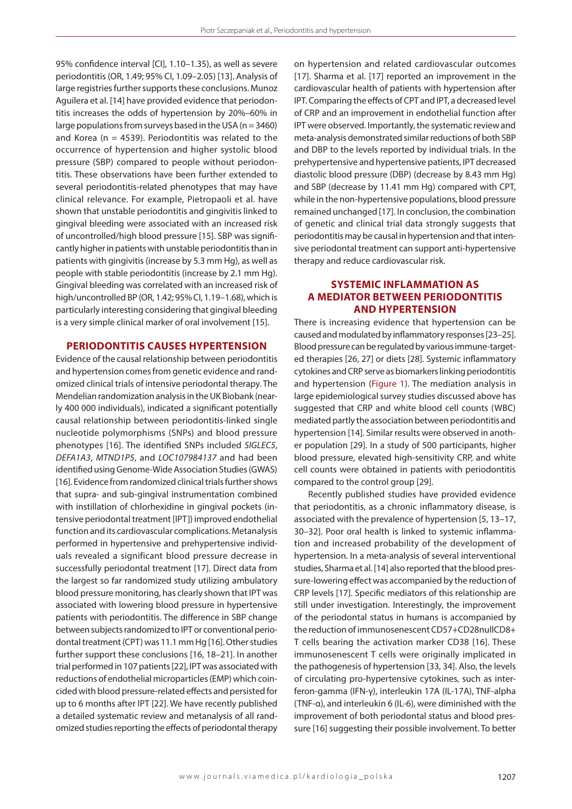95% confidence interval [CI], 1.10–1.35), as well as severe periodontitis (OR, 1.49; 95% CI, 1.09–2.05) [13]. Analysis of large registries further supports these conclusions. Munoz Aguilera et al. [14] have provided evidence that periodontitis increases the odds of hypertension by 20%–60% in large populations from surveys based in the USA ( $n = 3460$ ) and Korea ( $n = 4539$ ). Periodontitis was related to the occurrence of hypertension and higher systolic blood pressure (SBP) compared to people without periodontitis. These observations have been further extended to several periodontitis-related phenotypes that may have clinical relevance. For example, Pietropaoli et al. have shown that unstable periodontitis and gingivitis linked to gingival bleeding were associated with an increased risk of uncontrolled/high blood pressure [15]. SBP was significantly higher in patients with unstable periodontitis than in patients with gingivitis (increase by 5.3 mm Hg), as well as people with stable periodontitis (increase by 2.1 mm Hg). Gingival bleeding was correlated with an increased risk of high/uncontrolled BP (OR, 1.42; 95% CI, 1.19–1.68), which is particularly interesting considering that gingival bleeding is a very simple clinical marker of oral involvement [15].

## **Periodontitis causes hypertension**

Evidence of the causal relationship between periodontitis and hypertension comes from genetic evidence and randomized clinical trials of intensive periodontal therapy. The Mendelian randomization analysis in the UK Biobank (nearly 400 000 individuals), indicated a significant potentially causal relationship between periodontitis-linked single nucleotide polymorphisms (SNPs) and blood pressure phenotypes [16]. The identified SNPs included *SIGLEC5*, *DEFA1A3*, *MTND1P5*, and *LOC107984137* and had been identified using Genome-Wide Association Studies (GWAS) [16]. Evidence from randomized clinical trials further shows that supra- and sub-gingival instrumentation combined with instillation of chlorhexidine in gingival pockets (intensive periodontal treatment [IPT]) improved endothelial function and its cardiovascular complications. Metanalysis performed in hypertensive and prehypertensive individuals revealed a significant blood pressure decrease in successfully periodontal treatment [17]. Direct data from the largest so far randomized study utilizing ambulatory blood pressure monitoring, has clearly shown that IPT was associated with lowering blood pressure in hypertensive patients with periodontitis. The difference in SBP change between subjects randomized to IPT or conventional periodontal treatment (CPT) was 11.1 mm Hg [16]. Other studies further support these conclusions [16, 18–21]. In another trial performed in 107 patients [22], IPT was associated with reductions of endothelial microparticles (EMP) which coincided with blood pressure-related effects and persisted for up to 6 months after IPT [22]. We have recently published a detailed systematic review and metanalysis of all randomized studies reporting the effects of periodontal therapy on hypertension and related cardiovascular outcomes [17]. Sharma et al. [17] reported an improvement in the cardiovascular health of patients with hypertension after IPT. Comparing the effects of CPT and IPT, a decreased level of CRP and an improvement in endothelial function after IPT were observed. Importantly, the systematic review and meta-analysis demonstrated similar reductions of both SBP and DBP to the levels reported by individual trials. In the prehypertensive and hypertensive patients, IPT decreased diastolic blood pressure (DBP) (decrease by 8.43 mm Hg) and SBP (decrease by 11.41 mm Hg) compared with CPT, while in the non-hypertensive populations, blood pressure remained unchanged [17]. In conclusion, the combination of genetic and clinical trial data strongly suggests that periodontitis may be causal in hypertension and that intensive periodontal treatment can support anti-hypertensive therapy and reduce cardiovascular risk.

## **Systemic inflammation as a mediator between periodontitis and hypertension**

There is increasing evidence that hypertension can be caused and modulated by inflammatory responses [23–25]. Blood pressure can be regulated by various immune-targeted therapies [26, 27] or diets [28]. Systemic inflammatory cytokines and CRP serve as biomarkers linking periodontitis and hypertension (Figure 1). The mediation analysis in large epidemiological survey studies discussed above has suggested that CRP and white blood cell counts (WBC) mediated partly the association between periodontitis and hypertension [14]. Similar results were observed in another population [29]. In a study of 500 participants, higher blood pressure, elevated high-sensitivity CRP, and white cell counts were obtained in patients with periodontitis compared to the control group [29].

Recently published studies have provided evidence that periodontitis, as a chronic inflammatory disease, is associated with the prevalence of hypertension [5, 13–17, 30–32]. Poor oral health is linked to systemic inflammation and increased probability of the development of hypertension. In a meta-analysis of several interventional studies, Sharma et al. [14] also reported that the blood pressure-lowering effect was accompanied by the reduction of CRP levels [17]. Specific mediators of this relationship are still under investigation. Interestingly, the improvement of the periodontal status in humans is accompanied by the reduction of immunosenescent CD57+CD28nullCD8+ T cells bearing the activation marker CD38 [16]. These immunosenescent T cells were originally implicated in the pathogenesis of hypertension [33, 34]. Also, the levels of circulating pro-hypertensive cytokines, such as interferon-gamma (IFN-γ), interleukin 17A (IL-17A), TNF-alpha (TNF-α), and interleukin 6 (IL-6), were diminished with the improvement of both periodontal status and blood pressure [16] suggesting their possible involvement. To better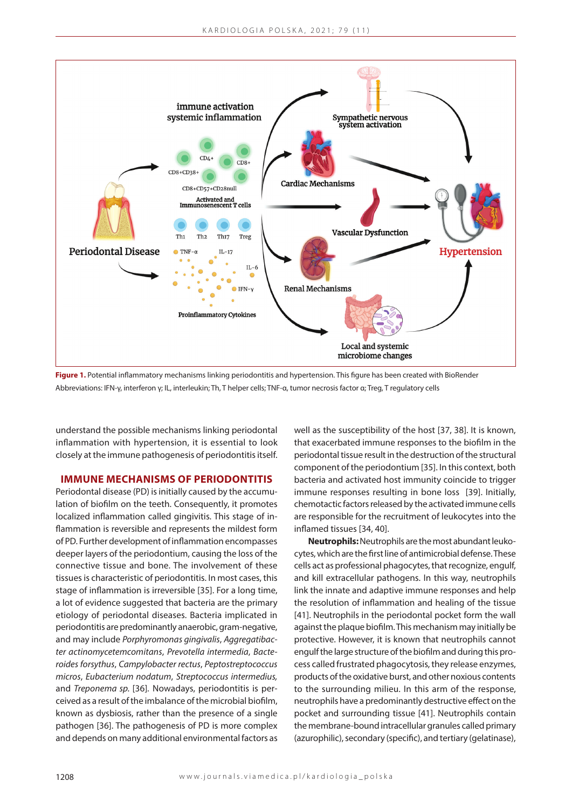

**Figure 1.** Potential inflammatory mechanisms linking periodontitis and hypertension. This figure has been created with BioRender Abbreviations: IFN-γ, interferon γ; IL, interleukin; Th, T helper cells; TNF-α, tumor necrosis factor α; Treg, T regulatory cells

understand the possible mechanisms linking periodontal inflammation with hypertension, it is essential to look closely at the immune pathogenesis of periodontitis itself.

**Immune mechanisms of periodontitis**

Periodontal disease (PD) is initially caused by the accumulation of biofilm on the teeth. Consequently, it promotes localized inflammation called gingivitis. This stage of inflammation is reversible and represents the mildest form of PD. Further development of inflammation encompasses deeper layers of the periodontium, causing the loss of the connective tissue and bone. The involvement of these tissues is characteristic of periodontitis. In most cases, this stage of inflammation is irreversible [35]. For a long time, a lot of evidence suggested that bacteria are the primary etiology of periodontal diseases. Bacteria implicated in periodontitis are predominantly anaerobic, gram-negative, and may include *Porphyromonas gingivalis*, *Aggregatibacter actinomycetemcomitans*, *Prevotella intermedia*, *Bacteroides forsythus*, *Campylobacter rectus*, *Peptostreptococcus micros*, *Eubacterium nodatum*, *Streptococcus intermedius,* and *Treponema sp.* [36]*.* Nowadays, periodontitis is perceived as a result of the imbalance of the microbial biofilm, known as dysbiosis, rather than the presence of a single pathogen [36]. The pathogenesis of PD is more complex and depends on many additional environmental factors as

well as the susceptibility of the host [37, 38]. It is known, that exacerbated immune responses to the biofilm in the periodontal tissue result in the destruction of the structural component of the periodontium [35]. In this context, both bacteria and activated host immunity coincide to trigger immune responses resulting in bone loss [39]. Initially, chemotactic factors released by the activated immune cells are responsible for the recruitment of leukocytes into the inflamed tissues [34, 40].

**Neutrophils:** Neutrophils are the most abundant leukocytes, which are the first line of antimicrobial defense. These cells act as professional phagocytes, that recognize, engulf, and kill extracellular pathogens. In this way, neutrophils link the innate and adaptive immune responses and help the resolution of inflammation and healing of the tissue [41]. Neutrophils in the periodontal pocket form the wall against the plaque biofilm. This mechanism may initially be protective. However, it is known that neutrophils cannot engulf the large structure of the biofilm and during this process called frustrated phagocytosis, they release enzymes, products of the oxidative burst, and other noxious contents to the surrounding milieu. In this arm of the response, neutrophils have a predominantly destructive effect on the pocket and surrounding tissue [41]. Neutrophils contain the membrane-bound intracellular granules called primary (azurophilic), secondary (specific), and tertiary (gelatinase),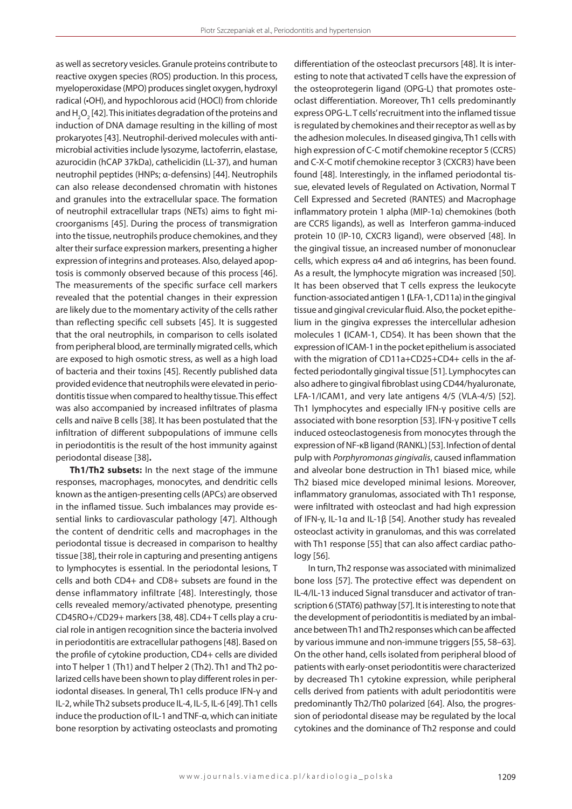as well as secretory vesicles. Granule proteins contribute to reactive oxygen species (ROS) production. In this process, myeloperoxidase (MPO) produces singlet oxygen, hydroxyl radical (•OH), and hypochlorous acid (HOCl) from chloride and  $H_2O_2$  [42]. This initiates degradation of the proteins and induction of DNA damage resulting in the killing of most prokaryotes [43]. Neutrophil-derived molecules with antimicrobial activities include lysozyme, lactoferrin, elastase, azurocidin (hCAP 37kDa), cathelicidin (LL-37), and human neutrophil peptides (HNPs; α-defensins) [44]. Neutrophils can also release decondensed chromatin with histones and granules into the extracellular space. The formation of neutrophil extracellular traps (NETs) aims to fight microorganisms [45]. During the process of transmigration into the tissue, neutrophils produce chemokines, and they alter their surface expression markers, presenting a higher expression of integrins and proteases. Also, delayed apoptosis is commonly observed because of this process [46]. The measurements of the specific surface cell markers revealed that the potential changes in their expression are likely due to the momentary activity of the cells rather than reflecting specific cell subsets [45]. It is suggested that the oral neutrophils, in comparison to cells isolated from peripheral blood, are terminally migrated cells, which are exposed to high osmotic stress, as well as a high load of bacteria and their toxins [45]. Recently published data provided evidence that neutrophils were elevated in periodontitis tissue when compared to healthy tissue. This effect was also accompanied by increased infiltrates of plasma cells and naïve B cells [38]. It has been postulated that the infiltration of different subpopulations of immune cells in periodontitis is the result of the host immunity against periodontal disease [38]**.**

**Th1/Th2 subsets:** In the next stage of the immune responses, macrophages, monocytes, and dendritic cells known as the antigen-presenting cells (APCs) are observed in the inflamed tissue. Such imbalances may provide essential links to cardiovascular pathology [47]. Although the content of dendritic cells and macrophages in the periodontal tissue is decreased in comparison to healthy tissue [38], their role in capturing and presenting antigens to lymphocytes is essential. In the periodontal lesions, T cells and both CD4+ and CD8+ subsets are found in the dense inflammatory infiltrate [48]. Interestingly, those cells revealed memory/activated phenotype, presenting CD45RO+/CD29+ markers [38, 48]. CD4+ T cells play a crucial role in antigen recognition since the bacteria involved in periodontitis are extracellular pathogens [48]. Based on the profile of cytokine production, CD4+ cells are divided into T helper 1 (Th1) and T helper 2 (Th2). Th1 and Th2 polarized cells have been shown to play different roles in periodontal diseases. In general, Th1 cells produce IFN-γ and IL-2, while Th2 subsets produce IL-4, IL-5, IL-6 [49]. Th1 cells induce the production of IL-1 and TNF-α, which can initiate bone resorption by activating osteoclasts and promoting differentiation of the osteoclast precursors [48]. It is interesting to note that activated T cells have the expression of the osteoprotegerin ligand (OPG-L) that promotes osteoclast differentiation. Moreover, Th1 cells predominantly express OPG-L. T cells' recruitment into the inflamed tissue is regulated by chemokines and their receptor as well as by the adhesion molecules. In diseased gingiva, Th1 cells with high expression of C-C motif chemokine receptor 5 (CCR5) and C-X-C motif chemokine receptor 3 (CXCR3) have been found [48]. Interestingly, in the inflamed periodontal tissue, elevated levels of Regulated on Activation, Normal T Cell Expressed and Secreted (RANTES) and Macrophage inflammatory protein 1 alpha (MIP-1α) chemokines (both are CCR5 ligands), as well as Interferon gamma-induced protein 10 (IP-10, CXCR3 ligand), were observed [48]. In the gingival tissue, an increased number of mononuclear cells, which express α4 and α6 integrins, has been found. As a result, the lymphocyte migration was increased [50]. It has been observed that T cells express the leukocyte function-associated antigen 1 **(**LFA-1, CD11a) in the gingival tissue and gingival crevicular fluid. Also, the pocket epithelium in the gingiva expresses the intercellular adhesion molecules 1 **(**ICAM-1, CD54). It has been shown that the expression of ICAM-1 in the pocket epithelium is associated with the migration of CD11a+CD25+CD4+ cells in the affected periodontally gingival tissue [51]. Lymphocytes can also adhere to gingival fibroblast using CD44/hyaluronate, LFA-1/ICAM1, and very late antigens 4/5 (VLA-4/5) [52]. Th1 lymphocytes and especially IFN-γ positive cells are associated with bone resorption [53]. IFN-γ positive T cells induced osteoclastogenesis from monocytes through the expression of NF-κB ligand (RANKL) [53]. Infection of dental pulp with *Porphyromonas gingivalis*, caused inflammation and alveolar bone destruction in Th1 biased mice, while Th2 biased mice developed minimal lesions. Moreover, inflammatory granulomas, associated with Th1 response, were infiltrated with osteoclast and had high expression of IFN-γ, IL-1α and IL-1β [54]. Another study has revealed osteoclast activity in granulomas, and this was correlated with Th1 response [55] that can also affect cardiac pathology [56].

In turn, Th2 response was associated with minimalized bone loss [57]. The protective effect was dependent on IL-4/IL-13 induced Signal transducer and activator of transcription 6 (STAT6) pathway [57]. It is interesting to note that the development of periodontitis is mediated by an imbalance between Th1 and Th2 responses which can be affected by various immune and non-immune triggers [55, 58–63]. On the other hand, cells isolated from peripheral blood of patients with early-onset periodontitis were characterized by decreased Th1 cytokine expression, while peripheral cells derived from patients with adult periodontitis were predominantly Th2/Th0 polarized [64]. Also, the progression of periodontal disease may be regulated by the local cytokines and the dominance of Th2 response and could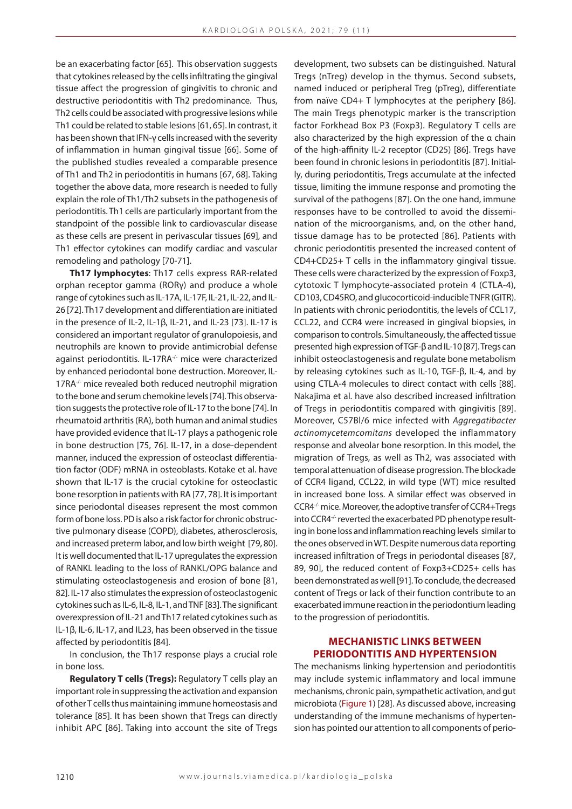be an exacerbating factor [65]. This observation suggests that cytokines released by the cells infiltrating the gingival tissue affect the progression of gingivitis to chronic and destructive periodontitis with Th2 predominance. Thus, Th2 cells could be associated with progressive lesions while Th1 could be related to stable lesions [61, 65]. In contrast, it has been shown that IFN-γ cells increased with the severity of inflammation in human gingival tissue [66]. Some of the published studies revealed a comparable presence of Th1 and Th2 in periodontitis in humans [67, 68]. Taking together the above data, more research is needed to fully explain the role of Th1/Th2 subsets in the pathogenesis of periodontitis. Th1 cells are particularly important from the standpoint of the possible link to cardiovascular disease as these cells are present in perivascular tissues [69], and Th1 effector cytokines can modify cardiac and vascular remodeling and pathology [70-71].

**Th17 lymphocytes**: Th17 cells express RAR-related orphan receptor gamma (RORγ) and produce a whole range of cytokines such as IL-17A, IL-17F, IL-21, IL-22, and IL-26 [72]. Th17 development and differentiation are initiated in the presence of IL-2, IL-1β, IL-21, and IL-23 [73]. IL-17 is considered an important regulator of granulopoiesis, and neutrophils are known to provide antimicrobial defense against periodontitis. IL-17RA<sup>-/-</sup> mice were characterized by enhanced periodontal bone destruction. Moreover, IL-17RA<sup>-/-</sup> mice revealed both reduced neutrophil migration to the bone and serum chemokine levels [74]. This observation suggests the protective role of IL-17 to the bone [74]. In rheumatoid arthritis (RA), both human and animal studies have provided evidence that IL-17 plays a pathogenic role in bone destruction [75, 76]. IL-17, in a dose-dependent manner, induced the expression of osteoclast differentiation factor (ODF) mRNA in osteoblasts. Kotake et al. have shown that IL-17 is the crucial cytokine for osteoclastic bone resorption in patients with RA [77, 78]. It is important since periodontal diseases represent the most common form of bone loss. PD is also a risk factor for chronic obstructive pulmonary disease (COPD), diabetes, atherosclerosis, and increased preterm labor, and low birth weight [79, 80]. It is well documented that IL-17 upregulates the expression of RANKL leading to the loss of RANKL/OPG balance and stimulating osteoclastogenesis and erosion of bone [81, 82]. IL-17 also stimulates the expression of osteoclastogenic cytokines such as IL-6, IL-8, IL-1, and TNF [83]. The significant overexpression of IL-21 and Th17 related cytokines such as IL-1β, IL-6, IL-17, and IL23, has been observed in the tissue affected by periodontitis [84].

In conclusion, the Th17 response plays a crucial role in bone loss.

**Regulatory T cells (Tregs):** Regulatory T cells play an important role in suppressing the activation and expansion of other T cells thus maintaining immune homeostasis and tolerance [85]. It has been shown that Tregs can directly inhibit APC [86]. Taking into account the site of Tregs

development, two subsets can be distinguished. Natural Tregs (nTreg) develop in the thymus. Second subsets, named induced or peripheral Treg (pTreg), differentiate from naïve CD4+ T lymphocytes at the periphery [86]. The main Tregs phenotypic marker is the transcription factor Forkhead Box P3 (Foxp3). Regulatory T cells are also characterized by the high expression of the α chain of the high-affinity IL-2 receptor (CD25) [86]. Tregs have been found in chronic lesions in periodontitis [87]. Initially, during periodontitis, Tregs accumulate at the infected tissue, limiting the immune response and promoting the survival of the pathogens [87]. On the one hand, immune responses have to be controlled to avoid the dissemination of the microorganisms, and, on the other hand, tissue damage has to be protected [86]. Patients with chronic periodontitis presented the increased content of CD4+CD25+ T cells in the inflammatory gingival tissue. These cells were characterized by the expression of Foxp3, cytotoxic T lymphocyte-associated protein 4 (CTLA-4), CD103, CD45RO, and glucocorticoid-inducible TNFR (GITR). In patients with chronic periodontitis, the levels of CCL17, CCL22, and CCR4 were increased in gingival biopsies, in comparison to controls. Simultaneously, the affected tissue presented high expression of TGF-β and IL-10 [87]. Tregs can inhibit osteoclastogenesis and regulate bone metabolism by releasing cytokines such as IL-10, TGF-β, IL-4, and by using CTLA-4 molecules to direct contact with cells [88]. Nakajima et al. have also described increased infiltration of Tregs in periodontitis compared with gingivitis [89]. Moreover, C57Bl/6 mice infected with *Aggregatibacter actinomycetemcomitans* developed the inflammatory response and alveolar bone resorption. In this model, the migration of Tregs, as well as Th2, was associated with temporal attenuation of disease progression. The blockade of CCR4 ligand, CCL22, in wild type (WT) mice resulted in increased bone loss. A similar effect was observed in CCR4-/- mice. Moreover, the adoptive transfer of CCR4+Tregs into CCR4<sup>-/-</sup> reverted the exacerbated PD phenotype resulting in bone loss and inflammation reaching levels similar to the ones observed in WT. Despite numerous data reporting increased infiltration of Tregs in periodontal diseases [87, 89, 90], the reduced content of Foxp3+CD25+ cells has been demonstrated as well [91]. To conclude, the decreased content of Tregs or lack of their function contribute to an exacerbated immune reaction in the periodontium leading to the progression of periodontitis.

## **Mechanistic links between periodontitis and hypertension**

The mechanisms linking hypertension and periodontitis may include systemic inflammatory and local immune mechanisms, chronic pain, sympathetic activation, and gut microbiota (Figure 1) [28]. As discussed above, increasing understanding of the immune mechanisms of hypertension has pointed our attention to all components of perio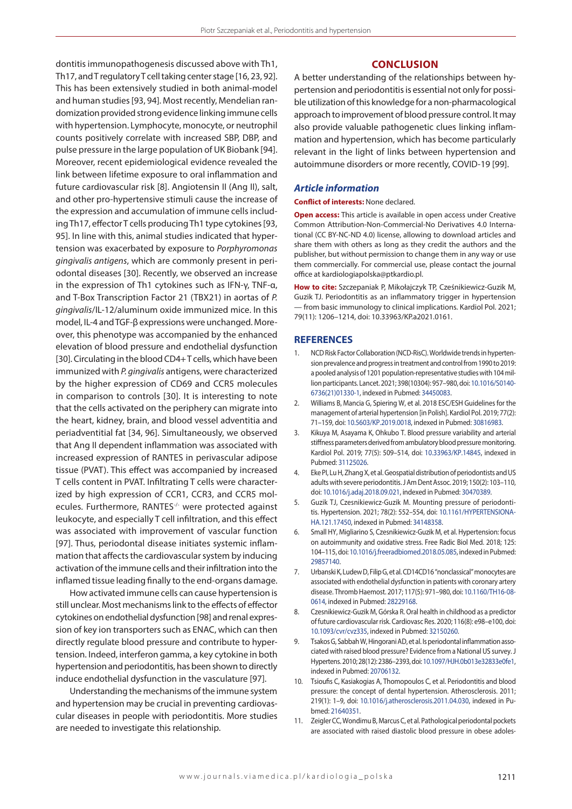dontitis immunopathogenesis discussed above with Th1, Th17, and T regulatory T cell taking center stage [16, 23, 92]. This has been extensively studied in both animal-model and human studies [93, 94]. Most recently, Mendelian randomization provided strong evidence linking immune cells with hypertension. Lymphocyte, monocyte, or neutrophil counts positively correlate with increased SBP, DBP, and pulse pressure in the large population of UK Biobank [94]. Moreover, recent epidemiological evidence revealed the link between lifetime exposure to oral inflammation and future cardiovascular risk [8]. Angiotensin II (Ang II), salt, and other pro-hypertensive stimuli cause the increase of the expression and accumulation of immune cells including Th17, effector T cells producing Th1 type cytokines [93, 95]. In line with this, animal studies indicated that hypertension was exacerbated by exposure to *Porphyromonas gingivalis antigens*, which are commonly present in periodontal diseases [30]. Recently, we observed an increase in the expression of Th1 cytokines such as IFN-γ, TNF-α, and T-Box Transcription Factor 21 (TBX21) in aortas of *P. gingivalis*/IL-12/aluminum oxide immunized mice. In this model, IL-4 and TGF-β expressions were unchanged. Moreover, this phenotype was accompanied by the enhanced elevation of blood pressure and endothelial dysfunction [30]. Circulating in the blood CD4+ T cells, which have been immunized with *P. gingivalis* antigens, were characterized by the higher expression of CD69 and CCR5 molecules in comparison to controls [30]. It is interesting to note that the cells activated on the periphery can migrate into the heart, kidney, brain, and blood vessel adventitia and periadventitial fat [34, 96]. Simultaneously, we observed that Ang II dependent inflammation was associated with increased expression of RANTES in perivascular adipose tissue (PVAT). This effect was accompanied by increased T cells content in PVAT. Infiltrating T cells were characterized by high expression of CCR1, CCR3, and CCR5 molecules. Furthermore, RANTES<sup>-/-</sup> were protected against leukocyte, and especially T cell infiltration, and this effect was associated with improvement of vascular function [97]. Thus, periodontal disease initiates systemic inflammation that affects the cardiovascular system by inducing activation of the immune cells and their infiltration into the inflamed tissue leading finally to the end-organs damage.

How activated immune cells can cause hypertension is still unclear. Most mechanisms link to the effects of effector cytokines on endothelial dysfunction [98] and renal expression of key ion transporters such as ENAC, which can then directly regulate blood pressure and contribute to hypertension. Indeed, interferon gamma, a key cytokine in both hypertension and periodontitis, has been shown to directly induce endothelial dysfunction in the vasculature [97].

Understanding the mechanisms of the immune system and hypertension may be crucial in preventing cardiovascular diseases in people with periodontitis. More studies are needed to investigate this relationship.

## **Conclusion**

A better understanding of the relationships between hypertension and periodontitis is essential not only for possible utilization of this knowledge for a non-pharmacological approach to improvement of blood pressure control. It may also provide valuable pathogenetic clues linking inflammation and hypertension, which has become particularly relevant in the light of links between hypertension and autoimmune disorders or more recently, COVID-19 [99].

#### *Article information*

#### **Conflict of interests:** None declared.

**Open access:** This article is available in open access under Creative Common Attribution-Non-Commercial-No Derivatives 4.0 International (CC BY-NC-ND 4.0) license, allowing to download articles and share them with others as long as they credit the authors and the publisher, but without permission to change them in any way or use them commercially. For commercial use, please contact the journal office at kardiologiapolska@ptkardio.pl.

**How to cite:** Szczepaniak P, Mikołajczyk TP, Cześnikiewicz-Guzik M, Guzik TJ. Periodontitis as an inflammatory trigger in hypertension — from basic immunology to clinical implications. Kardiol Pol. 2021; 79(11): 1206–1214, doi: 10.33963/KP.a2021.0161.

### **REFERENCES**

- 1. NCD Risk Factor Collaboration (NCD-RisC). Worldwide trends in hypertension prevalence and progress in treatment and control from 1990 to 2019: a pooled analysis of 1201 population-representative studies with 104 million participants. Lancet. 2021; 398(10304): 957–980, doi: [10.1016/S0140-](http://dx.doi.org/10.1016/S0140-6736(21)01330-1) [6736\(21\)01330-1,](http://dx.doi.org/10.1016/S0140-6736(21)01330-1) indexed in Pubmed: [34450083.](https://www.ncbi.nlm.nih.gov/pubmed/34450083)
- 2. Williams B, Mancia G, Spiering W, et al. 2018 ESC/ESH Guidelines for the management of arterial hypertension [in Polish]. Kardiol Pol. 2019; 77(2): 71–159, doi: [10.5603/KP.2019.0018,](http://dx.doi.org/10.5603/KP.2019.0018) indexed in Pubmed: [30816983](https://www.ncbi.nlm.nih.gov/pubmed/%2030816983).
- 3. Kikuya M, Asayama K, Ohkubo T. Blood pressure variability and arterial stiffness parameters derived from ambulatory blood pressure monitoring. Kardiol Pol. 2019; 77(5): 509–514, doi: [10.33963/KP.14845,](http://dx.doi.org/10.33963/KP.14845) indexed in Pubmed: [31125026](https://www.ncbi.nlm.nih.gov/pubmed/31125026).
- 4. Eke PI, Lu H, Zhang X, et al. Geospatial distribution of periodontists and US adults with severe periodontitis. J Am Dent Assoc. 2019; 150(2): 103–110, doi: [10.1016/j.adaj.2018.09.021](http://dx.doi.org/10.1016/j.adaj.2018.09.021), indexed in Pubmed: [30470389.](https://www.ncbi.nlm.nih.gov/pubmed/30470389)
- 5. Guzik TJ, Czesnikiewicz-Guzik M. Mounting pressure of periodontitis. Hypertension. 2021; 78(2): 552–554, doi: [10.1161/HYPERTENSIONA-](http://dx.doi.org/10.1161/HYPERTENSIONAHA.121.17450)[HA.121.17450,](http://dx.doi.org/10.1161/HYPERTENSIONAHA.121.17450) indexed in Pubmed: [34148358.](https://www.ncbi.nlm.nih.gov/pubmed/34148358)
- 6. Small HY, Migliarino S, Czesnikiewicz-Guzik M, et al. Hypertension: focus on autoimmunity and oxidative stress. Free Radic Biol Med. 2018; 125: 104–115, doi: [10.1016/j.freeradbiomed.2018.05.085](http://dx.doi.org/10.1016/j.freeradbiomed.2018.05.085), indexed in Pubmed: [29857140](https://www.ncbi.nlm.nih.gov/pubmed/29857140).
- 7. Urbanski K, Ludew D, Filip G, et al. CD14CD16 "nonclassical" monocytes are associated with endothelial dysfunction in patients with coronary artery disease. Thromb Haemost. 2017; 117(5): 971–980, doi: [10.1160/TH16-08-](http://dx.doi.org/10.1160/TH16-08-0614) [0614,](http://dx.doi.org/10.1160/TH16-08-0614) indexed in Pubmed: [28229168.](https://www.ncbi.nlm.nih.gov/pubmed/28229168)
- 8. Czesnikiewicz-Guzik M, Górska R. Oral health in childhood as a predictor of future cardiovascular risk. Cardiovasc Res. 2020; 116(8): e98–e100, doi: [10.1093/cvr/cvz335](http://dx.doi.org/10.1093/cvr/cvz335), indexed in Pubmed: [32150260](https://www.ncbi.nlm.nih.gov/pubmed/32150260).
- 9. Tsakos G, Sabbah W, Hingorani AD, et al. Is periodontal inflammation associated with raised blood pressure? Evidence from a National US survey. J Hypertens. 2010; 28(12): 2386–2393, doi: [10.1097/HJH.0b013e32833e0fe1,](http://dx.doi.org/10.1097/HJH.0b013e32833e0fe1) indexed in Pubmed: [20706132](https://www.ncbi.nlm.nih.gov/pubmed/20706132).
- 10. Tsioufis C, Kasiakogias A, Thomopoulos C, et al. Periodontitis and blood pressure: the concept of dental hypertension. Atherosclerosis. 2011; 219(1): 1–9, doi: [10.1016/j.atherosclerosis.2011.04.030,](http://dx.doi.org/10.1016/j.atherosclerosis.2011.04.030) indexed in Pubmed: [21640351](https://www.ncbi.nlm.nih.gov/pubmed/21640351).
- 11. Zeigler CC, Wondimu B, Marcus C, et al. Pathological periodontal pockets are associated with raised diastolic blood pressure in obese adoles-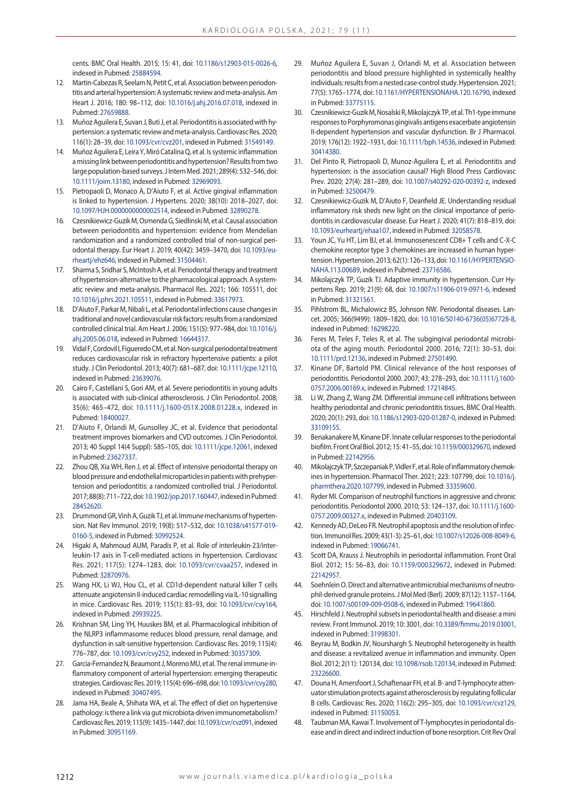cents. BMC Oral Health. 2015; 15: 41, doi: [10.1186/s12903-015-0026-6,](http://dx.doi.org/10.1186/s12903-015-0026-6) indexed in Pubmed: [25884594.](https://www.ncbi.nlm.nih.gov/pubmed/25884594)

- 12. Martin-Cabezas R, Seelam N, Petit C, et al. Association between periodontitis and arterial hypertension: A systematic review and meta-analysis. Am Heart J. 2016; 180: 98–112, doi: [10.1016/j.ahj.2016.07.018](http://dx.doi.org/10.1016/j.ahj.2016.07.018), indexed in Pubmed: [27659888.](https://www.ncbi.nlm.nih.gov/pubmed/27659888)
- 13. Muñoz Aguilera E, Suvan J, Buti J, et al. Periodontitis is associated with hypertension: a systematic review and meta-analysis. Cardiovasc Res. 2020; 116(1): 28–39, doi: [10.1093/cvr/cvz201](http://dx.doi.org/10.1093/cvr/cvz201), indexed in Pubmed: [31549149.](https://www.ncbi.nlm.nih.gov/pubmed/31549149)
- 14. Muñoz Aguilera E, Leira Y, Miró Catalina Q, et al. Is systemic inflammation a missing link between periodontitis and hypertension? Results from two large population-based surveys. J Intern Med. 2021; 289(4): 532–546, doi: [10.1111/joim.13180,](http://dx.doi.org/10.1111/joim.13180) indexed in Pubmed: [32969093](https://www.ncbi.nlm.nih.gov/pubmed/32969093).
- 15. Pietropaoli D, Monaco A, D'Aiuto F, et al. Active gingival inflammation is linked to hypertension. J Hypertens. 2020; 38(10): 2018–2027, doi: [10.1097/HJH.0000000000002514](http://dx.doi.org/10.1097/HJH.0000000000002514), indexed in Pubmed: [32890278.](https://www.ncbi.nlm.nih.gov/pubmed/32890278)
- 16. Czesnikiewicz-Guzik M, Osmenda G, Siedlinski M, et al. Causal association between periodontitis and hypertension: evidence from Mendelian randomization and a randomized controlled trial of non-surgical periodontal therapy. Eur Heart J. 2019; 40(42): 3459–3470, doi: [10.1093/eu](http://dx.doi.org/10.1093/eurheartj/ehz646)[rheartj/ehz646,](http://dx.doi.org/10.1093/eurheartj/ehz646) indexed in Pubmed: [31504461.](https://www.ncbi.nlm.nih.gov/pubmed/31504461)
- 17. Sharma S, Sridhar S, McIntosh A, et al. Periodontal therapy and treatment of hypertension-alternative to the pharmacological approach. A systematic review and meta-analysis. Pharmacol Res. 2021; 166: 105511, doi: [10.1016/j.phrs.2021.105511](http://dx.doi.org/10.1016/j.phrs.2021.105511), indexed in Pubmed: [33617973.](https://www.ncbi.nlm.nih.gov/pubmed/33617973)
- 18. D'Aiuto F, Parkar M, Nibali L, et al. Periodontal infections cause changes in traditional and novel cardiovascular risk factors: results from a randomized controlled clinical trial. Am Heart J. 2006; 151(5): 977–984, doi: [10.1016/j.](http://dx.doi.org/10.1016/j.ahj.2005.06.018) [ahj.2005.06.018,](http://dx.doi.org/10.1016/j.ahj.2005.06.018) indexed in Pubmed: [16644317.](https://www.ncbi.nlm.nih.gov/pubmed/16644317)
- 19. Vidal F, Cordovil I, Figueredo CM, et al. Non-surgical periodontal treatment reduces cardiovascular risk in refractory hypertensive patients: a pilot study. J Clin Periodontol. 2013; 40(7): 681–687, doi: [10.1111/jcpe.12110,](http://dx.doi.org/10.1111/jcpe.12110) indexed in Pubmed: [23639076.](https://www.ncbi.nlm.nih.gov/pubmed/23639076)
- 20. Cairo F, Castellani S, Gori AM, et al. Severe periodontitis in young adults is associated with sub-clinical atherosclerosis. J Clin Periodontol. 2008; 35(6): 465–472, doi: [10.1111/j.1600-051X.2008.01228.x,](http://dx.doi.org/10.1111/j.1600-051X.2008.01228.x) indexed in Pubmed: [18400027.](https://www.ncbi.nlm.nih.gov/pubmed/18400027)
- 21. D'Aiuto F, Orlandi M, Gunsolley JC, et al. Evidence that periodontal treatment improves biomarkers and CVD outcomes. J Clin Periodontol. 2013; 40 Suppl 14(4 Suppl): S85–105, doi: [10.1111/jcpe.12061,](http://dx.doi.org/10.1111/jcpe.12061) indexed in Pubmed: [23627337.](https://www.ncbi.nlm.nih.gov/pubmed/23627337)
- 22. Zhou QB, Xia WH, Ren J, et al. Effect of intensive periodontal therapy on blood pressure and endothelial microparticles in patients with prehypertension and periodontitis: a randomized controlled trial. J Periodontol. 2017; 88(8): 711–722, doi: [10.1902/jop.2017.160447,](http://dx.doi.org/10.1902/jop.2017.160447) indexed in Pubmed: [28452620.](https://www.ncbi.nlm.nih.gov/pubmed/28452620)
- 23. Drummond GR, Vinh A, Guzik TJ, et al. Immune mechanisms of hypertension. Nat Rev Immunol. 2019; 19(8): 517–532, doi: [10.1038/s41577-019-](http://dx.doi.org/10.1038/s41577-019-0160-5) [0160-5,](http://dx.doi.org/10.1038/s41577-019-0160-5) indexed in Pubmed: [30992524](https://www.ncbi.nlm.nih.gov/pubmed/30992524).
- 24. Higaki A, Mahmoud AUM, Paradis P, et al. Role of interleukin-23/interleukin-17 axis in T-cell-mediated actions in hypertension. Cardiovasc Res. 2021; 117(5): 1274–1283, doi: [10.1093/cvr/cvaa257](http://dx.doi.org/10.1093/cvr/cvaa257), indexed in Pubmed: [32870976.](https://www.ncbi.nlm.nih.gov/pubmed/32870976)
- 25. Wang HX, Li WJ, Hou CL, et al. CD1d-dependent natural killer T cells attenuate angiotensin II-induced cardiac remodelling via IL-10 signalling in mice. Cardiovasc Res. 2019; 115(1): 83–93, doi: [10.1093/cvr/cvy164,](http://dx.doi.org/10.1093/cvr/cvy164) indexed in Pubmed: [29939225.](https://www.ncbi.nlm.nih.gov/pubmed/29939225)
- 26. Krishnan SM, Ling YH, Huuskes BM, et al. Pharmacological inhibition of the NLRP3 inflammasome reduces blood pressure, renal damage, and dysfunction in salt-sensitive hypertension. Cardiovasc Res. 2019; 115(4): 776–787, doi: [10.1093/cvr/cvy252,](http://dx.doi.org/10.1093/cvr/cvy252) indexed in Pubmed: [30357309.](https://www.ncbi.nlm.nih.gov/pubmed/30357309)
- Garcia-Fernandez N, Beaumont J, Moreno MU, et al. The renal immune-inflammatory component of arterial hypertension: emerging therapeutic strategies. Cardiovasc Res. 2019; 115(4): 696–698, doi: [10.1093/cvr/cvy280,](http://dx.doi.org/10.1093/cvr/cvy280) indexed in Pubmed: [30407495.](https://www.ncbi.nlm.nih.gov/pubmed/30407495)
- 28. Jama HA, Beale A, Shihata WA, et al. The effect of diet on hypertensive pathology: is there a link via gut microbiota-driven immunometabolism? Cardiovasc Res. 2019; 115(9): 1435–1447, doi: [10.1093/cvr/cvz091](http://dx.doi.org/10.1093/cvr/cvz091), indexed in Pubmed: [30951169.](https://www.ncbi.nlm.nih.gov/pubmed/30951169)
- 29. Muñoz Aguilera E, Suvan J, Orlandi M, et al. Association between periodontitis and blood pressure highlighted in systemically healthy individuals: results from a nested case-control study. Hypertension. 2021; 77(5): 1765–1774, doi: [10.1161/HYPERTENSIONAHA.120.16790,](http://dx.doi.org/10.1161/HYPERTENSIONAHA.120.16790) indexed in Pubmed: [33775115](https://www.ncbi.nlm.nih.gov/pubmed/33775115).
- 30. Czesnikiewicz-Guzik M, Nosalski R, Mikolajczyk TP, et al. Th1-type immune responses to Porphyromonas gingivalis antigens exacerbate angiotensin II-dependent hypertension and vascular dysfunction. Br J Pharmacol. 2019; 176(12): 1922–1931, doi: [10.1111/bph.14536,](http://dx.doi.org/10.1111/bph.14536) indexed in Pubmed: [30414380](https://www.ncbi.nlm.nih.gov/pubmed/30414380).
- 31. Del Pinto R, Pietropaoli D, Munoz-Aguilera E, et al. Periodontitis and hypertension: is the association causal? High Blood Press Cardiovasc Prev. 2020; 27(4): 281–289, doi: [10.1007/s40292-020-00392-z,](http://dx.doi.org/10.1007/s40292-020-00392-z) indexed in Pubmed: [32500479](https://www.ncbi.nlm.nih.gov/pubmed/32500479).
- 32. Czesnikiewicz-Guzik M, D'Aiuto F, Deanfield JE. Understanding residual inflammatory risk sheds new light on the clinical importance of periodontitis in cardiovascular disease. Eur Heart J. 2020; 41(7): 818–819, doi: [10.1093/eurheartj/ehaa107,](http://dx.doi.org/10.1093/eurheartj/ehaa107) indexed in Pubmed: [32058578](https://www.ncbi.nlm.nih.gov/pubmed/32058578).
- 33. Youn JC, Yu HT, Lim BJ, et al. Immunosenescent CD8+ T cells and C-X-C chemokine receptor type 3 chemokines are increased in human hypertension. Hypertension. 2013; 62(1): 126–133, doi: [10.1161/HYPERTENSIO-](http://dx.doi.org/10.1161/HYPERTENSIONAHA.113.00689)[NAHA.113.00689,](http://dx.doi.org/10.1161/HYPERTENSIONAHA.113.00689) indexed in Pubmed: [23716586.](https://www.ncbi.nlm.nih.gov/pubmed/23716586)
- 34. Mikolajczyk TP, Guzik TJ. Adaptive immunity in hypertension. Curr Hypertens Rep. 2019; 21(9): 68, doi: [10.1007/s11906-019-0971-6](http://dx.doi.org/10.1007/s11906-019-0971-6), indexed in Pubmed: [31321561](https://www.ncbi.nlm.nih.gov/pubmed/31321561).
- 35. Pihlstrom BL, Michalowicz BS, Johnson NW. Periodontal diseases. Lancet. 2005; 366(9499): 1809–1820, doi: [10.1016/S0140-6736\(05\)67728-8,](http://dx.doi.org/10.1016/S0140-6736(05)67728-8) indexed in Pubmed: [16298220](https://www.ncbi.nlm.nih.gov/pubmed/16298220).
- 36. Feres M, Teles F, Teles R, et al. The subgingival periodontal microbiota of the aging mouth. Periodontol 2000. 2016; 72(1): 30–53, doi: [10.1111/prd.12136](http://dx.doi.org/10.1111/prd.12136), indexed in Pubmed: [27501490.](https://www.ncbi.nlm.nih.gov/pubmed/27501490)
- 37. Kinane DF, Bartold PM. Clinical relevance of the host responses of periodontitis. Periodontol 2000. 2007; 43: 278–293, doi: [10.1111/j.1600-](http://dx.doi.org/10.1111/j.1600-0757.2006.00169.x) [0757.2006.00169.x,](http://dx.doi.org/10.1111/j.1600-0757.2006.00169.x) indexed in Pubmed: [17214845.](https://www.ncbi.nlm.nih.gov/pubmed/17214845)
- 38. Li W, Zhang Z, Wang ZM. Differential immune cell infiltrations between healthy periodontal and chronic periodontitis tissues. BMC Oral Health. 2020; 20(1): 293, doi: [10.1186/s12903-020-01287-0,](http://dx.doi.org/10.1186/s12903-020-01287-0) indexed in Pubmed: [33109155](https://www.ncbi.nlm.nih.gov/pubmed/33109155).
- 39. Benakanakere M, Kinane DF. Innate cellular responses to the periodontal biofilm. Front Oral Biol. 2012; 15: 41–55, doi: [10.1159/000329670](http://dx.doi.org/10.1159/000329670), indexed in Pubmed: [22142956](https://www.ncbi.nlm.nih.gov/pubmed/22142956).
- 40. Mikolajczyk TP, Szczepaniak P, Vidler F, et al. Role of inflammatory chemokines in hypertension. Pharmacol Ther. 2021; 223: 107799, doi: [10.1016/j.](http://dx.doi.org/10.1016/j.pharmthera.2020.107799) [pharmthera.2020.107799](http://dx.doi.org/10.1016/j.pharmthera.2020.107799), indexed in Pubmed: [33359600](https://www.ncbi.nlm.nih.gov/pubmed/33359600).
- 41. Ryder MI. Comparison of neutrophil functions in aggressive and chronic periodontitis. Periodontol 2000. 2010; 53: 124–137, doi: [10.1111/j.1600-](http://dx.doi.org/10.1111/j.1600-0757.2009.00327.x) [0757.2009.00327.x,](http://dx.doi.org/10.1111/j.1600-0757.2009.00327.x) indexed in Pubmed: [20403109.](https://www.ncbi.nlm.nih.gov/pubmed/20403109)
- 42. Kennedy AD, DeLeo FR. Neutrophil apoptosis and the resolution of infection. Immunol Res. 2009; 43(1-3): 25–61, doi: [10.1007/s12026-008-8049-6,](http://dx.doi.org/10.1007/s12026-008-8049-6) indexed in Pubmed: [19066741](https://www.ncbi.nlm.nih.gov/pubmed/19066741).
- 43. Scott DA, Krauss J. Neutrophils in periodontal inflammation. Front Oral Biol. 2012; 15: 56–83, doi: [10.1159/000329672](http://dx.doi.org/10.1159/000329672), indexed in Pubmed: [22142957](https://www.ncbi.nlm.nih.gov/pubmed/22142957).
- 44. Soehnlein O. Direct and alternative antimicrobial mechanisms of neutrophil-derived granule proteins. J Mol Med (Berl). 2009; 87(12): 1157–1164, doi: [10.1007/s00109-009-0508-6](http://dx.doi.org/10.1007/s00109-009-0508-6), indexed in Pubmed: [19641860](https://www.ncbi.nlm.nih.gov/pubmed/19641860).
- 45. Hirschfeld J. Neutrophil subsets in periodontal health and disease: a mini review. Front Immunol. 2019; 10: 3001, doi: [10.3389/fimmu.2019.03001,](http://dx.doi.org/10.3389/fimmu.2019.03001) indexed in Pubmed: [31998301](https://www.ncbi.nlm.nih.gov/pubmed/31998301).
- Beyrau M, Bodkin JV, Nourshargh S. Neutrophil heterogeneity in health and disease: a revitalized avenue in inflammation and immunity. Open Biol. 2012; 2(11): 120134, doi: [10.1098/rsob.120134,](http://dx.doi.org/10.1098/rsob.120134) indexed in Pubmed: [23226600](https://www.ncbi.nlm.nih.gov/pubmed/23226600).
- 47. Douna H, Amersfoort J, Schaftenaar FH, et al. B- and T-lymphocyte attenuator stimulation protects against atherosclerosis by regulating follicular B cells. Cardiovasc Res. 2020; 116(2): 295–305, doi: [10.1093/cvr/cvz129,](http://dx.doi.org/10.1093/cvr/cvz129) indexed in Pubmed: [31150053](https://www.ncbi.nlm.nih.gov/pubmed/31150053).
- 48. Taubman MA, Kawai T. Involvement of T-lymphocytes in periodontal disease and in direct and indirect induction of bone resorption. Crit Rev Oral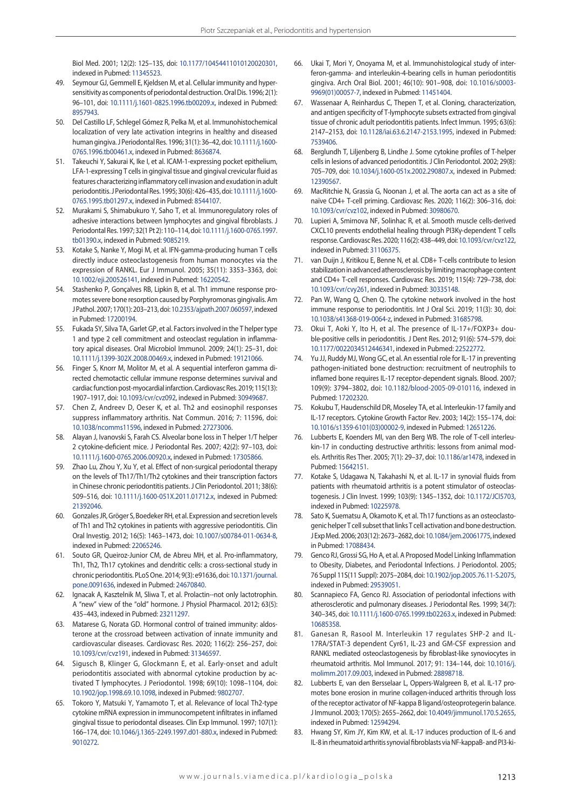Biol Med. 2001; 12(2): 125–135, doi: [10.1177/10454411010120020301,](http://dx.doi.org/10.1177/10454411010120020301) indexed in Pubmed: [11345523.](https://www.ncbi.nlm.nih.gov/pubmed/11345523)

- 49. Seymour GJ, Gemmell E, Kjeldsen M, et al. Cellular immunity and hypersensitivity as components of periodontal destruction. Oral Dis. 1996; 2(1): 96–101, doi: [10.1111/j.1601-0825.1996.tb00209.x](http://dx.doi.org/10.1111/j.1601-0825.1996.tb00209.x), indexed in Pubmed: [8957943](https://www.ncbi.nlm.nih.gov/pubmed/8957943).
- 50. Del Castillo LF, Schlegel Gómez R, Pelka M, et al. Immunohistochemical localization of very late activation integrins in healthy and diseased human gingiva. J Periodontal Res. 1996; 31(1): 36–42, doi: [10.1111/j.1600-](http://dx.doi.org/10.1111/j.1600-0765.1996.tb00461.x) [0765.1996.tb00461.x,](http://dx.doi.org/10.1111/j.1600-0765.1996.tb00461.x) indexed in Pubmed: [8636874](https://www.ncbi.nlm.nih.gov/pubmed/8636874).
- 51. Takeuchi Y, Sakurai K, Ike I, et al. ICAM-1-expressing pocket epithelium, LFA-1-expressing T cells in gingival tissue and gingival crevicular fluid as features characterizing inflammatory cell invasion and exudation in adult periodontitis. J Periodontal Res. 1995; 30(6): 426–435, doi: [10.1111/j.1600-](http://dx.doi.org/10.1111/j.1600-0765.1995.tb01297.x) [0765.1995.tb01297.x,](http://dx.doi.org/10.1111/j.1600-0765.1995.tb01297.x) indexed in Pubmed: [8544107](https://www.ncbi.nlm.nih.gov/pubmed/8544107).
- 52. Murakami S, Shimabukuro Y, Saho T, et al. Immunoregulatory roles of adhesive interactions between lymphocytes and gingival fibroblasts. J Periodontal Res. 1997; 32(1 Pt 2): 110–114, doi: [10.1111/j.1600-0765.1997.](http://dx.doi.org/10.1111/j.1600-0765.1997.tb01390.x) [tb01390.x,](http://dx.doi.org/10.1111/j.1600-0765.1997.tb01390.x) indexed in Pubmed: [9085219](https://www.ncbi.nlm.nih.gov/pubmed/9085219).
- 53. Kotake S, Nanke Y, Mogi M, et al. IFN-gamma-producing human T cells directly induce osteoclastogenesis from human monocytes via the expression of RANKL. Eur J Immunol. 2005; 35(11): 3353–3363, doi: [10.1002/eji.200526141](http://dx.doi.org/10.1002/eji.200526141), indexed in Pubmed: [16220542](https://www.ncbi.nlm.nih.gov/pubmed/16220542).
- 54. Stashenko P, Gonçalves RB, Lipkin B, et al. Th1 immune response promotes severe bone resorption caused by Porphyromonas gingivalis. Am J Pathol. 2007; 170(1): 203–213, doi: [10.2353/ajpath.2007.060597](http://dx.doi.org/10.2353/ajpath.2007.060597), indexed in Pubmed: [17200194.](https://www.ncbi.nlm.nih.gov/pubmed/17200194)
- 55. Fukada SY, Silva TA, Garlet GP, et al. Factors involved in the T helper type 1 and type 2 cell commitment and osteoclast regulation in inflammatory apical diseases. Oral Microbiol Immunol. 2009; 24(1): 25–31, doi: [10.1111/j.1399-302X.2008.00469.x,](http://dx.doi.org/10.1111/j.1399-302X.2008.00469.x) indexed in Pubmed: [19121066](https://www.ncbi.nlm.nih.gov/pubmed/19121066).
- 56. Finger S, Knorr M, Molitor M, et al. A sequential interferon gamma directed chemotactic cellular immune response determines survival and cardiac function post-myocardial infarction. Cardiovasc Res. 2019; 115(13): 1907–1917, doi: [10.1093/cvr/cvz092,](http://dx.doi.org/10.1093/cvr/cvz092) indexed in Pubmed: [30949687.](https://www.ncbi.nlm.nih.gov/pubmed/30949687)
- 57. Chen Z, Andreev D, Oeser K, et al. Th2 and eosinophil responses suppress inflammatory arthritis. Nat Commun. 2016; 7: 11596, doi: [10.1038/ncomms11596,](http://dx.doi.org/10.1038/ncomms11596) indexed in Pubmed: [27273006](https://www.ncbi.nlm.nih.gov/pubmed/27273006).
- 58. Alayan J, Ivanovski S, Farah CS. Alveolar bone loss in T helper 1/T helper 2 cytokine-deficient mice. J Periodontal Res. 2007; 42(2): 97–103, doi: [10.1111/j.1600-0765.2006.00920.x,](http://dx.doi.org/10.1111/j.1600-0765.2006.00920.x) indexed in Pubmed: [17305866.](https://www.ncbi.nlm.nih.gov/pubmed/17305866)
- 59. Zhao Lu, Zhou Y, Xu Y, et al. Effect of non-surgical periodontal therapy on the levels of Th17/Th1/Th2 cytokines and their transcription factors in Chinese chronic periodontitis patients. J Clin Periodontol. 2011; 38(6): 509–516, doi: [10.1111/j.1600-051X.2011.01712.x](http://dx.doi.org/10.1111/j.1600-051X.2011.01712.x), indexed in Pubmed: [21392046.](https://www.ncbi.nlm.nih.gov/pubmed/21392046)
- 60. Gonzales JR, Gröger S, Boedeker RH, et al. Expression and secretion levels of Th1 and Th2 cytokines in patients with aggressive periodontitis. Clin Oral Investig. 2012; 16(5): 1463–1473, doi: [10.1007/s00784-011-0634-8,](http://dx.doi.org/10.1007/s00784-011-0634-8) indexed in Pubmed: [22065246.](https://www.ncbi.nlm.nih.gov/pubmed/22065246)
- 61. Souto GR, Queiroz-Junior CM, de Abreu MH, et al. Pro-inflammatory, Th1, Th2, Th17 cytokines and dendritic cells: a cross-sectional study in chronic periodontitis. PLoS One. 2014; 9(3): e91636, doi: [10.1371/journal.](http://dx.doi.org/10.1371/journal.pone.0091636) [pone.0091636,](http://dx.doi.org/10.1371/journal.pone.0091636) indexed in Pubmed: [24670840.](https://www.ncbi.nlm.nih.gov/pubmed/24670840)
- 62. Ignacak A, Kasztelnik M, Sliwa T, et al. Prolactin--not only lactotrophin. A "new" view of the "old" hormone. J Physiol Pharmacol. 2012; 63(5): 435–443, indexed in Pubmed: [23211297](https://www.ncbi.nlm.nih.gov/pubmed/23211297).
- 63. Matarese G, Norata GD. Hormonal control of trained immunity: aldosterone at the crossroad between activation of innate immunity and cardiovascular diseases. Cardiovasc Res. 2020; 116(2): 256–257, doi: [10.1093/cvr/cvz191,](http://dx.doi.org/10.1093/cvr/cvz191) indexed in Pubmed: [31346597](https://www.ncbi.nlm.nih.gov/pubmed/31346597).
- 64. Sigusch B, Klinger G, Glockmann E, et al. Early-onset and adult periodontitis associated with abnormal cytokine production by activated T lymphocytes. J Periodontol. 1998; 69(10): 1098–1104, doi: [10.1902/jop.1998.69.10.1098,](http://dx.doi.org/10.1902/jop.1998.69.10.1098) indexed in Pubmed: [9802707](https://www.ncbi.nlm.nih.gov/pubmed/9802707).
- 65. Tokoro Y, Matsuki Y, Yamamoto T, et al. Relevance of local Th2-type cytokine mRNA expression in immunocompetent infiltrates in inflamed gingival tissue to periodontal diseases. Clin Exp Immunol. 1997; 107(1): 166–174, doi: [10.1046/j.1365-2249.1997.d01-880.x](http://dx.doi.org/10.1046/j.1365-2249.1997.d01-880.x), indexed in Pubmed: [9010272](https://www.ncbi.nlm.nih.gov/pubmed/9010272).
- 66. Ukai T, Mori Y, Onoyama M, et al. Immunohistological study of interferon-gamma- and interleukin-4-bearing cells in human periodontitis gingiva. Arch Oral Biol. 2001; 46(10): 901–908, doi: [10.1016/s0003-](http://dx.doi.org/10.1016/s0003-9969(01)00057-7) [9969\(01\)00057-7,](http://dx.doi.org/10.1016/s0003-9969(01)00057-7) indexed in Pubmed: [11451404.](https://www.ncbi.nlm.nih.gov/pubmed/11451404)
- 67. Wassenaar A, Reinhardus C, Thepen T, et al. Cloning, characterization, and antigen specificity of T-lymphocyte subsets extracted from gingival tissue of chronic adult periodontitis patients. Infect Immun. 1995; 63(6): 2147–2153, doi: [10.1128/iai.63.6.2147-2153.1995](http://dx.doi.org/10.1128/iai.63.6.2147-2153.1995), indexed in Pubmed: [7539406](https://www.ncbi.nlm.nih.gov/pubmed/7539406).
- 68. Berglundh T, Liljenberg B, Lindhe J. Some cytokine profiles of T-helper cells in lesions of advanced periodontitis. J Clin Periodontol. 2002; 29(8): 705–709, doi: [10.1034/j.1600-051x.2002.290807.x,](http://dx.doi.org/10.1034/j.1600-051x.2002.290807.x) indexed in Pubmed: [12390567](https://www.ncbi.nlm.nih.gov/pubmed/12390567).
- 69. MacRitchie N, Grassia G, Noonan J, et al. The aorta can act as a site of naïve CD4+ T-cell priming. Cardiovasc Res. 2020; 116(2): 306–316, doi: [10.1093/cvr/cvz102](http://dx.doi.org/10.1093/cvr/cvz102), indexed in Pubmed: [30980670](https://www.ncbi.nlm.nih.gov/pubmed/30980670).
- 70. Lupieri A, Smirnova NF, Solinhac R, et al. Smooth muscle cells-derived CXCL10 prevents endothelial healing through PI3Kγ-dependent T cells response. Cardiovasc Res. 2020; 116(2): 438–449, doi: [10.1093/cvr/cvz122,](http://dx.doi.org/10.1093/cvr/cvz122) indexed in Pubmed: [31106375](https://www.ncbi.nlm.nih.gov/pubmed/31106375).
- 71. van Duijn J, Kritikou E, Benne N, et al. CD8+ T-cells contribute to lesion stabilization in advanced atherosclerosis by limiting macrophage content and CD4+ T-cell responses. Cardiovasc Res. 2019; 115(4): 729–738, doi: [10.1093/cvr/cvy261,](http://dx.doi.org/10.1093/cvr/cvy261) indexed in Pubmed: [30335148.](https://www.ncbi.nlm.nih.gov/pubmed/30335148)
- 72. Pan W, Wang Q, Chen Q. The cytokine network involved in the host immune response to periodontitis. Int J Oral Sci. 2019; 11(3): 30, doi: [10.1038/s41368-019-0064-z](http://dx.doi.org/10.1038/s41368-019-0064-z), indexed in Pubmed: [31685798](https://www.ncbi.nlm.nih.gov/pubmed/31685798).
- 73. Okui T, Aoki Y, Ito H, et al. The presence of IL-17+/FOXP3+ double-positive cells in periodontitis. J Dent Res. 2012; 91(6): 574–579, doi: [10.1177/0022034512446341,](http://dx.doi.org/10.1177/0022034512446341) indexed in Pubmed: [22522772.](https://www.ncbi.nlm.nih.gov/pubmed/22522772)
- 74. Yu JJ, Ruddy MJ, Wong GC, et al. An essential role for IL-17 in preventing pathogen-initiated bone destruction: recruitment of neutrophils to inflamed bone requires IL-17 receptor-dependent signals. Blood. 2007; 109(9): 3794–3802, doi: [10.1182/blood-2005-09-010116,](http://dx.doi.org/10.1182/blood-2005-09-010116) indexed in Pubmed: [17202320](https://www.ncbi.nlm.nih.gov/pubmed/17202320).
- 75. Kokubu T, Haudenschild DR, Moseley TA, et al. Interleukin-17 family and IL-17 receptors. Cytokine Growth Factor Rev. 2003; 14(2): 155–174, doi: [10.1016/s1359-6101\(03\)00002-9,](http://dx.doi.org/10.1016/s1359-6101(03)00002-9) indexed in Pubmed: [12651226.](https://www.ncbi.nlm.nih.gov/pubmed/12651226)
- 76. Lubberts E, Koenders MI, van den Berg WB. The role of T-cell interleukin-17 in conducting destructive arthritis: lessons from animal models. Arthritis Res Ther. 2005; 7(1): 29–37, doi: [10.1186/ar1478](http://dx.doi.org/10.1186/ar1478), indexed in Pubmed: [15642151](https://www.ncbi.nlm.nih.gov/pubmed/15642151).
- 77. Kotake S, Udagawa N, Takahashi N, et al. IL-17 in synovial fluids from patients with rheumatoid arthritis is a potent stimulator of osteoclastogenesis. J Clin Invest. 1999; 103(9): 1345–1352, doi: [10.1172/JCI5703,](http://dx.doi.org/10.1172/JCI5703) indexed in Pubmed: [10225978](https://www.ncbi.nlm.nih.gov/pubmed/10225978).
- 78. Sato K, Suematsu A, Okamoto K, et al. Th17 functions as an osteoclastogenic helper T cell subset that links T cell activation and bone destruction. J Exp Med. 2006; 203(12): 2673–2682, doi: [10.1084/jem.20061775,](http://dx.doi.org/10.1084/jem.20061775) indexed in Pubmed: [17088434](https://www.ncbi.nlm.nih.gov/pubmed/17088434).
- 79. Genco RJ, Grossi SG, Ho A, et al. A Proposed Model Linking Inflammation to Obesity, Diabetes, and Periodontal Infections. J Periodontol. 2005; 76 Suppl 11S(11 Suppl): 2075–2084, doi: [10.1902/jop.2005.76.11-S.2075,](http://dx.doi.org/10.1902/jop.2005.76.11-S.2075) indexed in Pubmed: [29539051](https://www.ncbi.nlm.nih.gov/pubmed/29539051).
- 80. Scannapieco FA, Genco RJ. Association of periodontal infections with atherosclerotic and pulmonary diseases. J Periodontal Res. 1999; 34(7): 340–345, doi: [10.1111/j.1600-0765.1999.tb02263.x,](http://dx.doi.org/10.1111/j.1600-0765.1999.tb02263.x) indexed in Pubmed: [10685358](https://www.ncbi.nlm.nih.gov/pubmed/10685358).
- 81. Ganesan R, Rasool M. Interleukin 17 regulates SHP-2 and IL-17RA/STAT-3 dependent Cyr61, IL-23 and GM-CSF expression and RANKL mediated osteoclastogenesis by fibroblast-like synoviocytes in rheumatoid arthritis. Mol Immunol. 2017; 91: 134–144, doi: [10.1016/j.](http://dx.doi.org/10.1016/j.molimm.2017.09.003) [molimm.2017.09.003,](http://dx.doi.org/10.1016/j.molimm.2017.09.003) indexed in Pubmed: [28898718.](https://www.ncbi.nlm.nih.gov/pubmed/28898718)
- 82. Lubberts E, van den Bersselaar L, Oppers-Walgreen B, et al. IL-17 promotes bone erosion in murine collagen-induced arthritis through loss of the receptor activator of NF-kappa B ligand/osteoprotegerin balance. J Immunol. 2003; 170(5): 2655–2662, doi: [10.4049/jimmunol.170.5.2655,](http://dx.doi.org/10.4049/jimmunol.170.5.2655) indexed in Pubmed: [12594294](https://www.ncbi.nlm.nih.gov/pubmed/12594294).
- 83. Hwang SY, Kim JY, Kim KW, et al. IL-17 induces production of IL-6 and IL-8 in rheumatoid arthritis synovial fibroblasts via NF-kappaB- and PI3-ki-